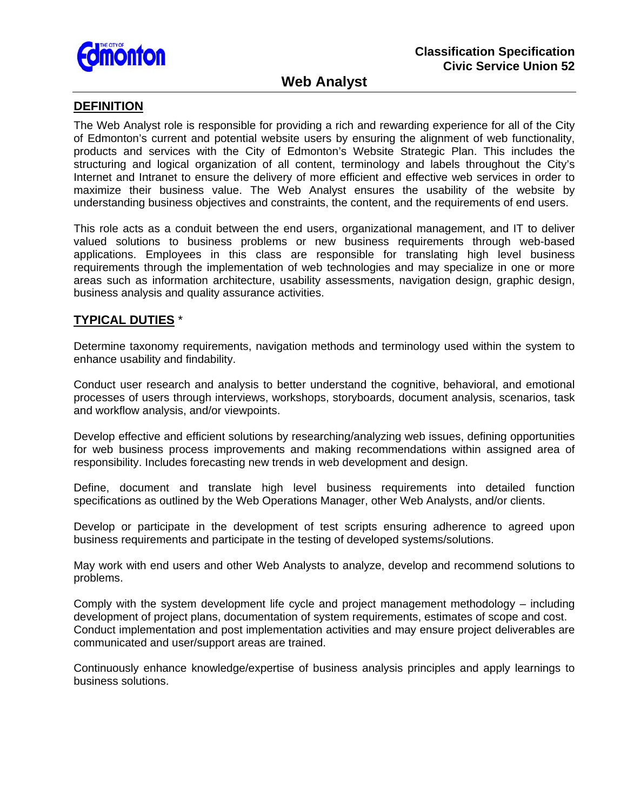

#### **DEFINITION**

The Web Analyst role is responsible for providing a rich and rewarding experience for all of the City of Edmonton's current and potential website users by ensuring the alignment of web functionality, products and services with the City of Edmonton's Website Strategic Plan. This includes the structuring and logical organization of all content, terminology and labels throughout the City's Internet and Intranet to ensure the delivery of more efficient and effective web services in order to maximize their business value. The Web Analyst ensures the usability of the website by understanding business objectives and constraints, the content, and the requirements of end users.

This role acts as a conduit between the end users, organizational management, and IT to deliver valued solutions to business problems or new business requirements through web-based applications. Employees in this class are responsible for translating high level business requirements through the implementation of web technologies and may specialize in one or more areas such as information architecture, usability assessments, navigation design, graphic design, business analysis and quality assurance activities.

### **TYPICAL DUTIES** \*

Determine taxonomy requirements, navigation methods and terminology used within the system to enhance usability and findability.

Conduct user research and analysis to better understand the cognitive, behavioral, and emotional processes of users through interviews, workshops, storyboards, document analysis, scenarios, task and workflow analysis, and/or viewpoints.

Develop effective and efficient solutions by researching/analyzing web issues, defining opportunities for web business process improvements and making recommendations within assigned area of responsibility. Includes forecasting new trends in web development and design.

Define, document and translate high level business requirements into detailed function specifications as outlined by the Web Operations Manager, other Web Analysts, and/or clients.

Develop or participate in the development of test scripts ensuring adherence to agreed upon business requirements and participate in the testing of developed systems/solutions.

May work with end users and other Web Analysts to analyze, develop and recommend solutions to problems.

Comply with the system development life cycle and project management methodology – including development of project plans, documentation of system requirements, estimates of scope and cost. Conduct implementation and post implementation activities and may ensure project deliverables are communicated and user/support areas are trained.

Continuously enhance knowledge/expertise of business analysis principles and apply learnings to business solutions.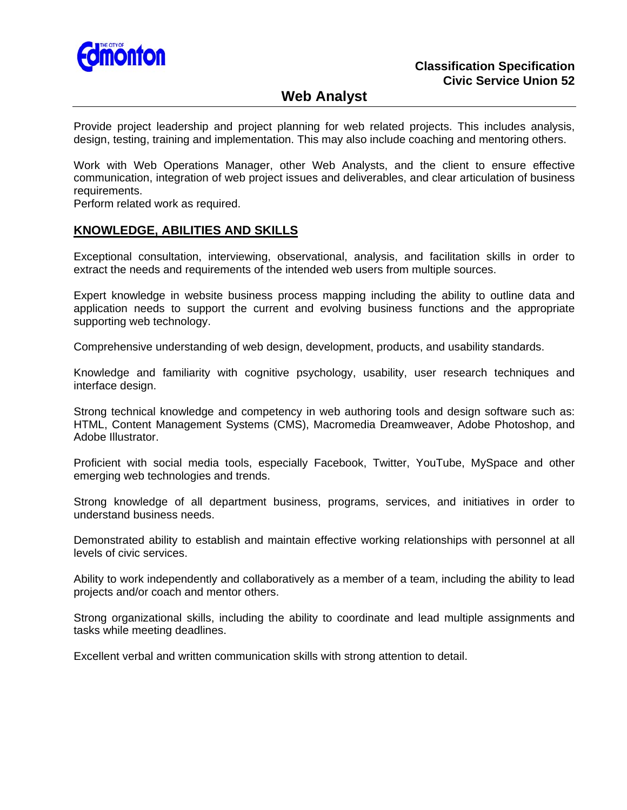

# **Web Analyst**

Provide project leadership and project planning for web related projects. This includes analysis, design, testing, training and implementation. This may also include coaching and mentoring others.

Work with Web Operations Manager, other Web Analysts, and the client to ensure effective communication, integration of web project issues and deliverables, and clear articulation of business requirements.

Perform related work as required.

# **KNOWLEDGE, ABILITIES AND SKILLS**

Exceptional consultation, interviewing, observational, analysis, and facilitation skills in order to extract the needs and requirements of the intended web users from multiple sources.

Expert knowledge in website business process mapping including the ability to outline data and application needs to support the current and evolving business functions and the appropriate supporting web technology.

Comprehensive understanding of web design, development, products, and usability standards.

Knowledge and familiarity with cognitive psychology, usability, user research techniques and interface design.

Strong technical knowledge and competency in web authoring tools and design software such as: HTML, Content Management Systems (CMS), Macromedia Dreamweaver, Adobe Photoshop, and Adobe Illustrator.

Proficient with social media tools, especially Facebook, Twitter, YouTube, MySpace and other emerging web technologies and trends.

Strong knowledge of all department business, programs, services, and initiatives in order to understand business needs.

Demonstrated ability to establish and maintain effective working relationships with personnel at all levels of civic services.

Ability to work independently and collaboratively as a member of a team, including the ability to lead projects and/or coach and mentor others.

Strong organizational skills, including the ability to coordinate and lead multiple assignments and tasks while meeting deadlines.

Excellent verbal and written communication skills with strong attention to detail.